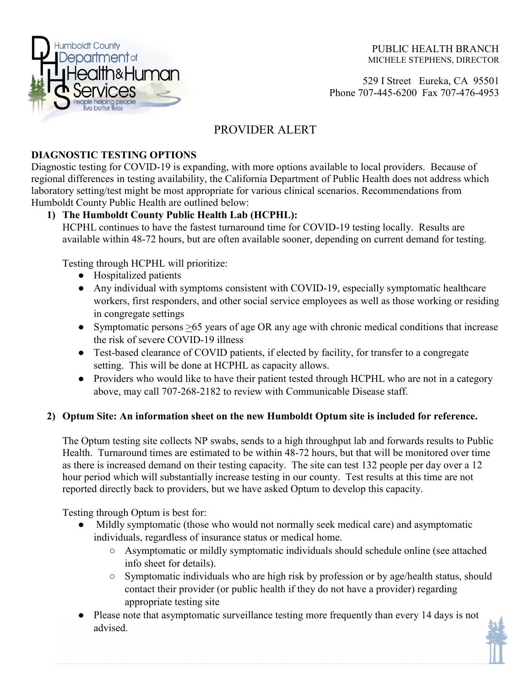

PUBLIC HEALTH BRANCH MICHELE STEPHENS, DIRECTOR

 529 I StreetEureka, CA 95501 Phone 707-445-6200 Fax 707-476-4953

# PROVIDER ALERT

## **DIAGNOSTIC TESTING OPTIONS**

Diagnostic testing for COVID-19 is expanding, with more options available to local providers. Because of regional differences in testing availability, the California Department of Public Health does not address which laboratory setting/test might be most appropriate for various clinical scenarios. Recommendations from Humboldt County Public Health are outlined below:

### **1) The Humboldt County Public Health Lab (HCPHL):**

HCPHL continues to have the fastest turnaround time for COVID-19 testing locally. Results are available within 48-72 hours, but are often available sooner, depending on current demand for testing.

Testing through HCPHL will prioritize:

- Hospitalized patients
- Any individual with symptoms consistent with COVID-19, especially symptomatic healthcare workers, first responders, and other social service employees as well as those working or residing in congregate settings
- Symptomatic persons >65 years of age OR any age with chronic medical conditions that increase the risk of severe COVID-19 illness
- Test-based clearance of COVID patients, if elected by facility, for transfer to a congregate setting. This will be done at HCPHL as capacity allows.
- Providers who would like to have their patient tested through HCPHL who are not in a category above, may call 707-268-2182 to review with Communicable Disease staff.

### **2) Optum Site: An information sheet on the new Humboldt Optum site is included for reference.**

The Optum testing site collects NP swabs, sends to a high throughput lab and forwards results to Public Health. Turnaround times are estimated to be within 48-72 hours, but that will be monitored over time as there is increased demand on their testing capacity. The site can test 132 people per day over a 12 hour period which will substantially increase testing in our county. Test results at this time are not reported directly back to providers, but we have asked Optum to develop this capacity.

Testing through Optum is best for:

- Mildly symptomatic (those who would not normally seek medical care) and asymptomatic individuals, regardless of insurance status or medical home.
	- Asymptomatic or mildly symptomatic individuals should schedule online (see attached info sheet for details).
	- Symptomatic individuals who are high risk by profession or by age/health status, should contact their provider (or public health if they do not have a provider) regarding appropriate testing site
- Please note that asymptomatic surveillance testing more frequently than every 14 days is not advised.